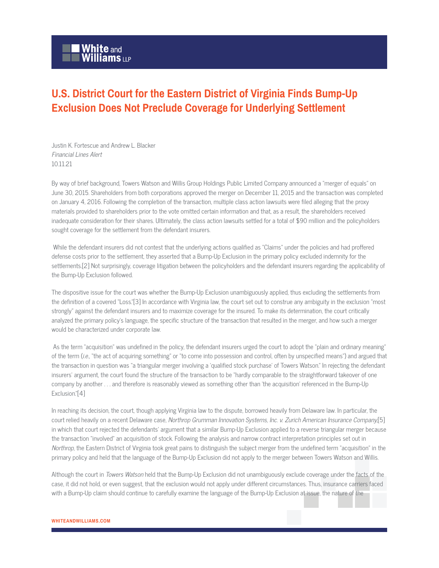## **White** and<br>Williams LLP

## **U.S. District Court for the Eastern District of Virginia Finds Bump-Up Exclusion Does Not Preclude Coverage for Underlying Settlement**

Justin K. Fortescue and Andrew L. Blacker Financial Lines Alert 10.11.21

By way of brief background, Towers Watson and Willis Group Holdings Public Limited Company announced a "merger of equals" on June 30, 2015. Shareholders from both corporations approved the merger on December 11, 2015 and the transaction was completed on January 4, 2016. Following the completion of the transaction, multiple class action lawsuits were filed alleging that the proxy materials provided to shareholders prior to the vote omitted certain information and that, as a result, the shareholders received inadequate consideration for their shares. Ultimately, the class action lawsuits settled for a total of \$90 million and the policyholders sought coverage for the settlement from the defendant insurers.

 While the defendant insurers did not contest that the underlying actions qualified as "Claims" under the policies and had proffered defense costs prior to the settlement, they asserted that a Bump-Up Exclusion in the primary policy excluded indemnity for the settlements.[2] Not surprisingly, coverage litigation between the policyholders and the defendant insurers regarding the applicability of the Bump-Up Exclusion followed.

The dispositive issue for the court was whether the Bump-Up Exclusion unambiguously applied, thus excluding the settlements from the definition of a covered "Loss."[3] In accordance with Virginia law, the court set out to construe any ambiguity in the exclusion "most strongly" against the defendant insurers and to maximize coverage for the insured. To make its determination, the court critically analyzed the primary policy's language, the specific structure of the transaction that resulted in the merger, and how such a merger would be characterized under corporate law.

 As the term "acquisition" was undefined in the policy, the defendant insurers urged the court to adopt the "plain and ordinary meaning" of the term (i.e., "the act of acquiring something" or "to come into possession and control, often by unspecified means") and argued that the transaction in question was "a triangular merger involving a 'qualified stock purchase' of Towers Watson." In rejecting the defendant insurers' argument, the court found the structure of the transaction to be "hardly comparable to the straightforward takeover of one company by another . . . and therefore is reasonably viewed as something other than 'the acquisition' referenced in the Bump-Up Exclusion."[4]

In reaching its decision, the court, though applying Virginia law to the dispute, borrowed heavily from Delaware law. In particular, the court relied heavily on a recent Delaware case, Northrop Grumman Innovation Systems, Inc. v. Zurich American Insurance Company,[5] in which that court rejected the defendants' argument that a similar Bump-Up Exclusion applied to a reverse triangular merger because the transaction "involved" an acquisition of stock. Following the analysis and narrow contract interpretation principles set out in Northrop, the Eastern District of Virginia took great pains to distinguish the subject merger from the undefined term "acquisition" in the primary policy and held that the language of the Bump-Up Exclusion did not apply to the merger between Towers Watson and Willis.

Although the court in Towers Watson held that the Bump-Up Exclusion did not unambiguously exclude coverage under the facts of the case, it did not hold, or even suggest, that the exclusion would not apply under different circumstances. Thus, insurance carriers faced with a Bump-Up claim should continue to carefully examine the language of the Bump-Up Exclusion at issue, the nature of the